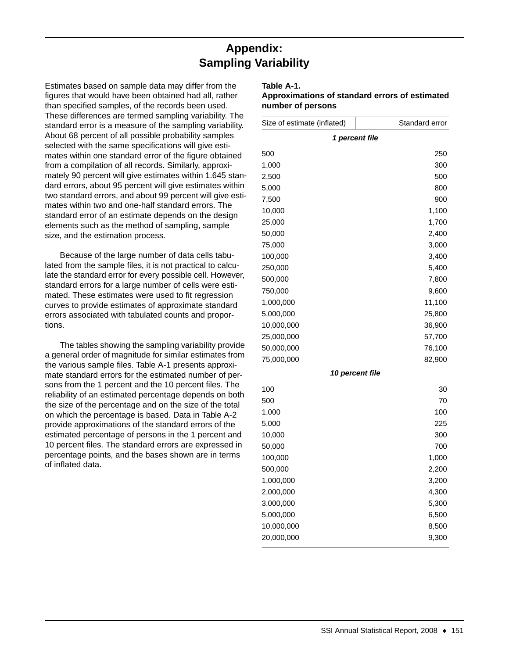## **Appendix: Sampling Variability**

Estimates based on sample data may differ from the figures that would have been obtained had all, rather than specified samples, of the records been used. These differences are termed sampling variability. The standard error is a measure of the sampling variability. About 68 percent of all possible probability samples selected with the same specifications will give estimates within one standard error of the figure obtained from a compilation of all records. Similarly, approximately 90 percent will give estimates within 1.645 standard errors, about 95 percent will give estimates within two standard errors, and about 99 percent will give estimates within two and one-half standard errors. The standard error of an estimate depends on the design elements such as the method of sampling, sample size, and the estimation process.

Because of the large number of data cells tabulated from the sample files, it is not practical to calculate the standard error for every possible cell. However, standard errors for a large number of cells were estimated. These estimates were used to fit regression curves to provide estimates of approximate standard errors associated with tabulated counts and proportions.

The tables showing the sampling variability provide a general order of magnitude for similar estimates from the various sample files. Table A-1 presents approximate standard errors for the estimated number of persons from the 1 percent and the 10 percent files. The reliability of an estimated percentage depends on both the size of the percentage and on the size of the total on which the percentage is based. Data in Table A-2 provide approximations of the standard errors of the estimated percentage of persons in the 1 percent and 10 percent files. The standard errors are expressed in percentage points, and the bases shown are in terms of inflated data.

## **Table A-1.**

## **Approximations of standard errors of estimated number of persons**

| Size of estimate (inflated) | Standard error                |  |  |  |  |  |
|-----------------------------|-------------------------------|--|--|--|--|--|
| 1 percent file              |                               |  |  |  |  |  |
| 500                         | 250                           |  |  |  |  |  |
| 1,000                       | 300                           |  |  |  |  |  |
| 2,500                       | 500                           |  |  |  |  |  |
| 5,000                       | 800                           |  |  |  |  |  |
| 7,500                       | 900                           |  |  |  |  |  |
| 10,000                      | 1,100                         |  |  |  |  |  |
| 25,000                      | 1,700                         |  |  |  |  |  |
| 50,000                      | 2,400                         |  |  |  |  |  |
| 75,000                      | 3,000                         |  |  |  |  |  |
| 100,000                     | 3,400                         |  |  |  |  |  |
| 250,000                     | 5,400                         |  |  |  |  |  |
| 500,000                     | 7,800                         |  |  |  |  |  |
| 750,000                     | 9,600                         |  |  |  |  |  |
| 1,000,000                   | 11,100                        |  |  |  |  |  |
| 5,000,000                   | 25,800                        |  |  |  |  |  |
| 10,000,000                  | 36,900                        |  |  |  |  |  |
| 25,000,000                  | 57,700                        |  |  |  |  |  |
| 50,000,000                  | 76,100                        |  |  |  |  |  |
| 75,000,000                  | 82,900                        |  |  |  |  |  |
|                             | <i><b>10 percent file</b></i> |  |  |  |  |  |
| 100                         | 30                            |  |  |  |  |  |
| 500                         | 70                            |  |  |  |  |  |
| 1,000                       | 100                           |  |  |  |  |  |
| 5,000                       | 225                           |  |  |  |  |  |
| 10,000                      | 300                           |  |  |  |  |  |
| 50,000                      | 700                           |  |  |  |  |  |
| 100,000                     | 1,000                         |  |  |  |  |  |
| 500,000                     | 2,200                         |  |  |  |  |  |
| 1,000,000                   | 3,200                         |  |  |  |  |  |
| 2,000,000                   | 4,300                         |  |  |  |  |  |
| 3,000,000                   | 5,300                         |  |  |  |  |  |
| 5,000,000                   | 6,500                         |  |  |  |  |  |
| 10,000,000                  | 8,500                         |  |  |  |  |  |
| 20,000,000                  | 9,300                         |  |  |  |  |  |